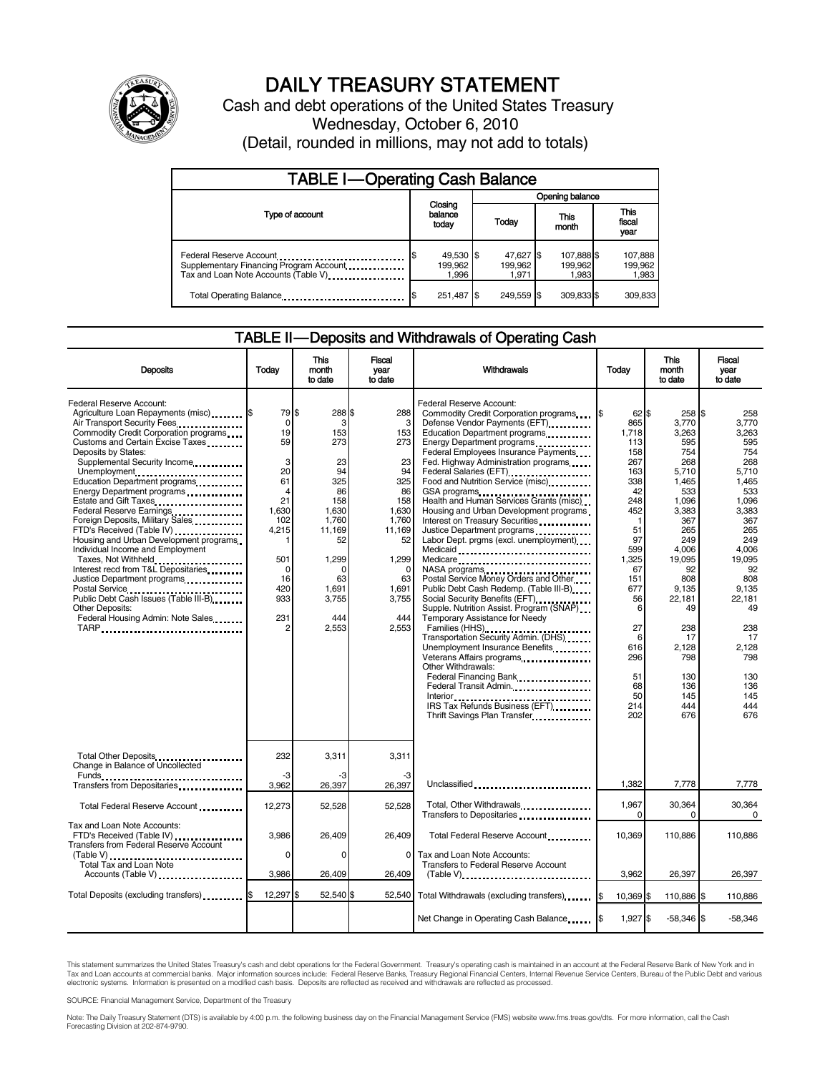

# DAILY TREASURY STATEMENT

Cash and debt operations of the United States Treasury Wednesday, October 6, 2010 (Detail, rounded in millions, may not add to totals)

| <b>TABLE I-Operating Cash Balance</b>                                                                       |                               |                               |                                |                             |  |  |
|-------------------------------------------------------------------------------------------------------------|-------------------------------|-------------------------------|--------------------------------|-----------------------------|--|--|
|                                                                                                             | Opening balance               |                               |                                |                             |  |  |
| Type of account                                                                                             | Closing<br>balance<br>today   | Today                         | This<br>month                  | This<br>fiscal<br>year      |  |  |
| Federal Reserve Account<br>Supplementary Financing Program Account<br>Tax and Loan Note Accounts (Table V). | 49,530 \$<br>199.962<br>1,996 | 47,627 \$<br>199.962<br>1.971 | 107,888 \$<br>199,962<br>1,983 | 107,888<br>199,962<br>1,983 |  |  |
| Total Operating Balance                                                                                     | 251.487 \$                    | 249.559 \$                    | 309.833 \$                     | 309.833                     |  |  |

## TABLE II-Deposits and Withdrawals of Operating Cash

| <b>Deposits</b>                                                                                                                                                                                                                                                                                                                                                                                                                                                                                                                                                                                                                                                                                                                    | Today                                                                                                                        | This<br>month<br>to date                                                                                                                          | <b>Fiscal</b><br>year<br>to date                                                                                                                      | <b>Withdrawals</b>                                                                                                                                                                                                                                                                                                                                                                                                                                                                                                                                                                                                                                                                                                                                                                                                                                                                                                                                                                                                            | Today                                                                                                                                                                                                             | <b>This</b><br>month<br>to date                                                                                                                                                                                                        | <b>Fiscal</b><br>year<br>to date                                                                                                                                                                                                    |
|------------------------------------------------------------------------------------------------------------------------------------------------------------------------------------------------------------------------------------------------------------------------------------------------------------------------------------------------------------------------------------------------------------------------------------------------------------------------------------------------------------------------------------------------------------------------------------------------------------------------------------------------------------------------------------------------------------------------------------|------------------------------------------------------------------------------------------------------------------------------|---------------------------------------------------------------------------------------------------------------------------------------------------|-------------------------------------------------------------------------------------------------------------------------------------------------------|-------------------------------------------------------------------------------------------------------------------------------------------------------------------------------------------------------------------------------------------------------------------------------------------------------------------------------------------------------------------------------------------------------------------------------------------------------------------------------------------------------------------------------------------------------------------------------------------------------------------------------------------------------------------------------------------------------------------------------------------------------------------------------------------------------------------------------------------------------------------------------------------------------------------------------------------------------------------------------------------------------------------------------|-------------------------------------------------------------------------------------------------------------------------------------------------------------------------------------------------------------------|----------------------------------------------------------------------------------------------------------------------------------------------------------------------------------------------------------------------------------------|-------------------------------------------------------------------------------------------------------------------------------------------------------------------------------------------------------------------------------------|
| Federal Reserve Account:<br>Agriculture Loan Repayments (misc) \$<br>Air Transport Security Fees.<br>Commodity Credit Corporation programs<br>Customs and Certain Excise Taxes<br>Deposits by States:<br>Supplemental Security Income<br>Unemployment<br>Education Department programs<br>Energy Department programs<br>Federal Reserve Earnings<br>Foreign Deposits, Military Sales<br>FTD's Received (Table IV)<br>Housing and Urban Development programs<br>Individual Income and Employment<br>Taxes, Not Withheld<br>Interest recd from T&L Depositaries<br>Justice Department programs<br>Postal Service<br><br>Public Debt Cash Issues (Table III-B)<br><b>Other Deposits:</b><br>Federal Housing Admin: Note Sales<br>TARP | 79 \$<br>$\mathbf 0$<br>19<br>59<br>3<br>20<br>61<br>4<br>21<br>1,630<br>102<br>4,215<br>501<br>0<br>16<br>420<br>933<br>231 | 288 \$<br>3<br>153<br>273<br>23<br>94<br>325<br>86<br>158<br>1,630<br>1.760<br>11,169<br>52<br>1,299<br>C<br>63<br>1,691<br>3,755<br>444<br>2,553 | 288<br>3<br>153<br>273<br>23<br>94<br>325<br>86<br>158<br>1,630<br>1.760<br>11,169<br>52<br>1,299<br>$\Omega$<br>63<br>1,691<br>3,755<br>444<br>2.553 | Federal Reserve Account:<br>Commodity Credit Corporation programs<br>Defense Vendor Payments (EFT)<br>Education Department programs<br>Energy Department programs<br><br>Federal Employees Insurance Payments<br>Fed. Highway Administration programs<br>Food and Nutrition Service (misc)<br>GSA programs<br>Health and Human Services Grants (misc)<br>Housing and Urban Development programs<br>Interest on Treasury Securities<br>Justice Department programs<br>Labor Dept. prgms (excl. unemployment)<br>Medicaid<br>Medicare<br>NASA programs<br>Postal Service Money Orders and Other<br>Public Debt Cash Redemp. (Table III-B)<br>Social Security Benefits (EFT)<br>Supple. Nutrition Assist. Program (SNAP)<br>Temporary Assistance for Needy<br>Families (HHS)<br>Transportation Security Admin. (DHS)<br>Unemployment Insurance Benefits<br>Veterans Affairs programs<br>Other Withdrawals:<br>Federal Financing Bank<br>Federal Transit Admin.<br>IRS Tax Refunds Business (EFT)<br>Thrift Savings Plan Transfer | $62$ \$<br>865<br>1,718<br>113<br>158<br>267<br>163<br>338<br>42<br>248<br>452<br>$\mathbf 1$<br>51<br>97<br>599<br>1,325<br>67<br>151<br>677<br>56<br>6<br>27<br>6<br>616<br>296<br>51<br>68<br>50<br>214<br>202 | 258 \$<br>3,770<br>3,263<br>595<br>754<br>268<br>5.710<br>1.465<br>533<br>1,096<br>3,383<br>367<br>265<br>249<br>4,006<br>19.095<br>92<br>808<br>9,135<br>22,181<br>49<br>238<br>17<br>2,128<br>798<br>130<br>136<br>145<br>444<br>676 | 258<br>3.770<br>3.263<br>595<br>754<br>268<br>5.710<br>1.465<br>533<br>1,096<br>3,383<br>367<br>265<br>249<br>4,006<br>19.095<br>92<br>808<br>9,135<br>22,181<br>49<br>238<br>17<br>2,128<br>798<br>130<br>136<br>145<br>444<br>676 |
| Total Other Deposits<br>Change in Balance of Uncollected                                                                                                                                                                                                                                                                                                                                                                                                                                                                                                                                                                                                                                                                           | 232<br>-3                                                                                                                    | 3,311                                                                                                                                             | 3,311                                                                                                                                                 |                                                                                                                                                                                                                                                                                                                                                                                                                                                                                                                                                                                                                                                                                                                                                                                                                                                                                                                                                                                                                               |                                                                                                                                                                                                                   |                                                                                                                                                                                                                                        |                                                                                                                                                                                                                                     |
| Funds<br>Transfers from Depositaries                                                                                                                                                                                                                                                                                                                                                                                                                                                                                                                                                                                                                                                                                               | 3,962                                                                                                                        | 26,397                                                                                                                                            | 26,397                                                                                                                                                | Unclassified                                                                                                                                                                                                                                                                                                                                                                                                                                                                                                                                                                                                                                                                                                                                                                                                                                                                                                                                                                                                                  | 1,382                                                                                                                                                                                                             | 7,778                                                                                                                                                                                                                                  | 7,778                                                                                                                                                                                                                               |
| Total Federal Reserve Account                                                                                                                                                                                                                                                                                                                                                                                                                                                                                                                                                                                                                                                                                                      | 12,273                                                                                                                       | 52,528                                                                                                                                            | 52.528                                                                                                                                                | Total, Other Withdrawals<br>Transfers to Depositaries                                                                                                                                                                                                                                                                                                                                                                                                                                                                                                                                                                                                                                                                                                                                                                                                                                                                                                                                                                         | 1,967<br>0                                                                                                                                                                                                        | 30,364<br>$\Omega$                                                                                                                                                                                                                     | 30,364<br>$\Omega$                                                                                                                                                                                                                  |
| Tax and Loan Note Accounts:<br>FTD's Received (Table IV)<br>Transfers from Federal Reserve Account                                                                                                                                                                                                                                                                                                                                                                                                                                                                                                                                                                                                                                 | 3,986                                                                                                                        | 26,409                                                                                                                                            | 26,409                                                                                                                                                | Total Federal Reserve Account                                                                                                                                                                                                                                                                                                                                                                                                                                                                                                                                                                                                                                                                                                                                                                                                                                                                                                                                                                                                 | 10,369                                                                                                                                                                                                            | 110,886                                                                                                                                                                                                                                | 110,886                                                                                                                                                                                                                             |
| Total Tax and Loan Note<br>Accounts (Table V)                                                                                                                                                                                                                                                                                                                                                                                                                                                                                                                                                                                                                                                                                      | $\Omega$<br>3,986                                                                                                            | $\Omega$<br>26,409                                                                                                                                | $\Omega$<br>26,409                                                                                                                                    | Tax and Loan Note Accounts:<br><b>Transfers to Federal Reserve Account</b><br>$(Table V)$                                                                                                                                                                                                                                                                                                                                                                                                                                                                                                                                                                                                                                                                                                                                                                                                                                                                                                                                     | 3,962                                                                                                                                                                                                             | 26,397                                                                                                                                                                                                                                 | 26,397                                                                                                                                                                                                                              |
| Total Deposits (excluding transfers) <b>S</b>                                                                                                                                                                                                                                                                                                                                                                                                                                                                                                                                                                                                                                                                                      | 12,297 \$                                                                                                                    | 52,540 \$                                                                                                                                         | 52.540                                                                                                                                                | Total Withdrawals (excluding transfers) [\$                                                                                                                                                                                                                                                                                                                                                                                                                                                                                                                                                                                                                                                                                                                                                                                                                                                                                                                                                                                   | 10,369 \$                                                                                                                                                                                                         | 110,886 \$                                                                                                                                                                                                                             | 110,886                                                                                                                                                                                                                             |
|                                                                                                                                                                                                                                                                                                                                                                                                                                                                                                                                                                                                                                                                                                                                    |                                                                                                                              |                                                                                                                                                   |                                                                                                                                                       | Net Change in Operating Cash Balance                                                                                                                                                                                                                                                                                                                                                                                                                                                                                                                                                                                                                                                                                                                                                                                                                                                                                                                                                                                          | 1,927 \$                                                                                                                                                                                                          | $-58,346$ \$                                                                                                                                                                                                                           | $-58,346$                                                                                                                                                                                                                           |

This statement summarizes the United States Treasury's cash and debt operations for the Federal Government. Treasury's operating cash is maintained in an account at the Federal Reserve Bank of New York and in<br>Tax and Loan

SOURCE: Financial Management Service, Department of the Treasury

Note: The Daily Treasury Statement (DTS) is available by 4:00 p.m. the following business day on the Financial Management Service (FMS) website www.fms.treas.gov/dts. For more information, call the Cash<br>Forecasting Divisio